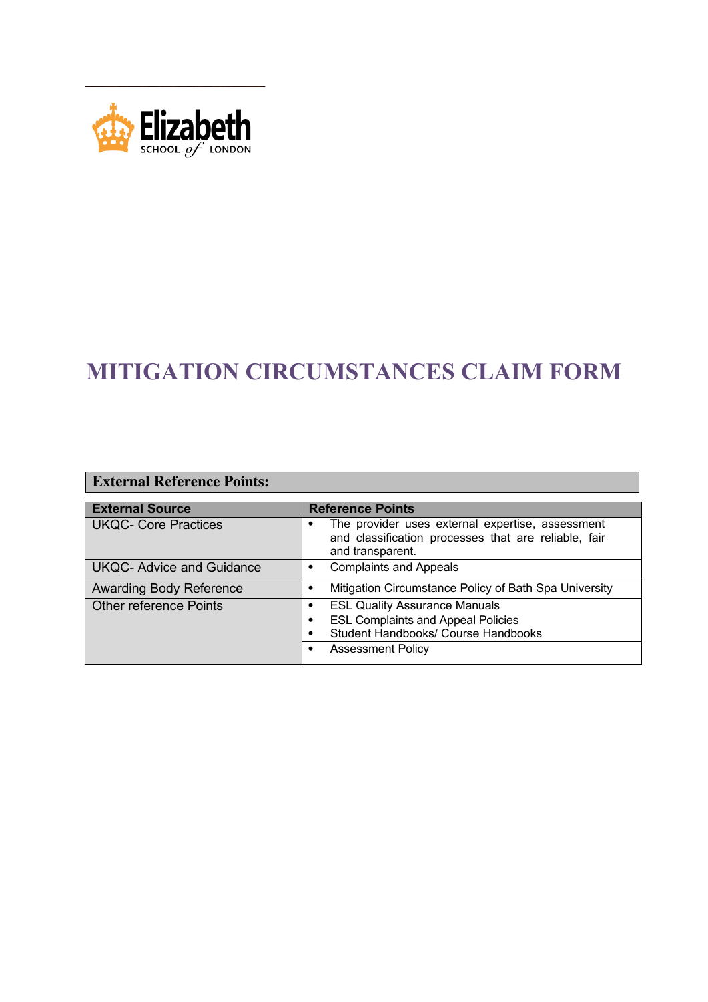

## **MITIGATION CIRCUMSTANCES CLAIM FORM**

| <b>External Reference Points:</b> |                                                                                                                                                           |  |  |  |
|-----------------------------------|-----------------------------------------------------------------------------------------------------------------------------------------------------------|--|--|--|
| <b>External Source</b>            | <b>Reference Points</b>                                                                                                                                   |  |  |  |
| <b>UKQC- Core Practices</b>       | The provider uses external expertise, assessment<br>and classification processes that are reliable, fair<br>and transparent.                              |  |  |  |
| <b>UKQC- Advice and Guidance</b>  | <b>Complaints and Appeals</b><br>$\bullet$                                                                                                                |  |  |  |
| <b>Awarding Body Reference</b>    | Mitigation Circumstance Policy of Bath Spa University<br>٠                                                                                                |  |  |  |
| <b>Other reference Points</b>     | <b>ESL Quality Assurance Manuals</b><br><b>ESL Complaints and Appeal Policies</b><br>٠<br>Student Handbooks/ Course Handbooks<br><b>Assessment Policy</b> |  |  |  |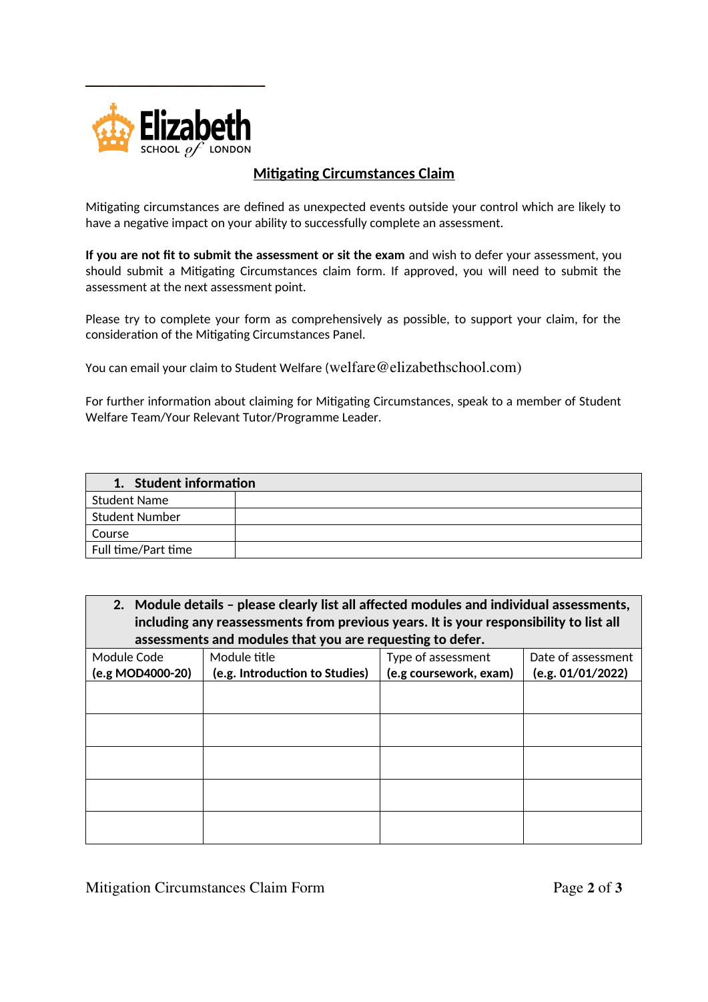

## **Mitigating Circumstances Claim**

Mitigating circumstances are defined as unexpected events outside your control which are likely to have a negative impact on your ability to successfully complete an assessment.

**If you are not fit to submit the assessment or sit the exam** and wish to defer your assessment, you should submit a Mitigating Circumstances claim form. If approved, you will need to submit the assessment at the next assessment point.

Please try to complete your form as comprehensively as possible, to support your claim, for the consideration of the Mitigating Circumstances Panel.

You can email your claim to Student Welfare (welfare@elizabethschool.com)

For further information about claiming for Mitigating Circumstances, speak to a member of Student Welfare Team/Your Relevant Tutor/Programme Leader.

| 1. Student information |  |  |
|------------------------|--|--|
| <b>Student Name</b>    |  |  |
| <b>Student Number</b>  |  |  |
| Course                 |  |  |
| Full time/Part time    |  |  |

**2. Module details – please clearly list all affected modules and individual assessments, including any reassessments from previous years. It is your responsibility to list all assessments and modules that you are requesting to defer.**

| Module Code      | Module title                   | queenig ee a.c. e. .<br>Type of assessment | Date of assessment |
|------------------|--------------------------------|--------------------------------------------|--------------------|
| (e.g MOD4000-20) | (e.g. Introduction to Studies) | (e.g coursework, exam)                     | (e.g. 01/01/2022)  |
|                  |                                |                                            |                    |
|                  |                                |                                            |                    |
|                  |                                |                                            |                    |
|                  |                                |                                            |                    |
|                  |                                |                                            |                    |
|                  |                                |                                            |                    |
|                  |                                |                                            |                    |
|                  |                                |                                            |                    |
|                  |                                |                                            |                    |
|                  |                                |                                            |                    |

Mitigation Circumstances Claim Form Page **2** of **3**